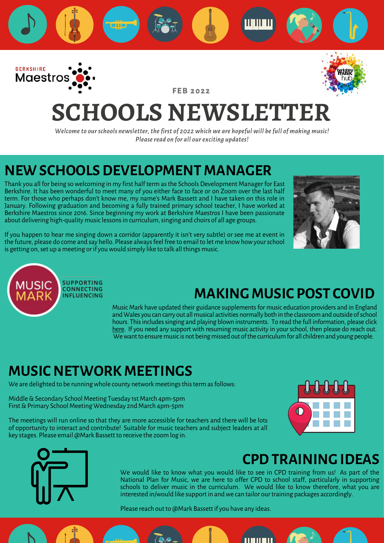

**F E B 2 0 2 2**



# **SCHOOLS NEWSLETTER**

*Welcome to our schools newsletter, the first of 2022 which we are hopeful will be full of making music! Please read on for all our exciting updates!*

### **NEW SCHOOLS DEVELOPMENT MANAGER**

Thank you all for being so welcoming in my first half term as the Schools Development Manager for East Berkshire. It has been wonderful to meet many of you either face to face or on Zoom over the last half term. For those who perhaps don't know me, my name's Mark Bassett and I have taken on this role in January. Following graduation and becoming a fully trained primary school teacher, I have worked at Berkshire Maestros since 2016. Since beginning my work at Berkshire Maestros I have been passionate about delivering high-quality music lessons in curriculum, singing and choirs of all age groups.



If you happen to hear me singing down a corridor (apparently it isn't very subtle) or see me at event in the future, please do come and say hello. Please always feel free to email to let me know how your school is getting on, set up a meeting or if you would simply like to talk all things music.



### **MAKING MUSIC POST COVID**

Music Mark have updated their guidance supplements for music education providers and in England and Wales you can carry out all musical activities normally both in the classroom and outside of school hours. This includes singing and playing blown instruments. To read the full information, please click [here.](https://www.musicmark.org.uk/resources/music-unlocked-guidance-for-schools-and-music-providers/) If you need any support with resuming music activity in your school, then please do reach out. We want to ensure music is not being missed out of the curriculum for all children and young people.

### **MUSIC NETWORK MEETINGS**

We are delighted to be running whole county network meetings this term as follows:

Middle & Secondary School Meeting Tuesday 1st March 4pm-5pm First & Primary School Meeting Wednesday 2nd March 4pm-5pm

The meetings will run online so that they are more accessible for teachers and there will be lots of opportunity to interact and contribute! Suitable for music teachers and subject leaders at all key stages. Please email @Mark Bassett to receive the zoom log in.





### **CPD TRAINING IDEAS**

We would like to know what you would like to see in CPD training from us! As part of the National Plan for Music, we are here to offer CPD to school staff, particularly in supporting schools to deliver music in the curriculum. We would like to know therefore, what you are interested in/would like support in and we can tailor our training packages accordingly.

11 **11 11 11** 

Please reach out to @Mark Bassett if you have any ideas.